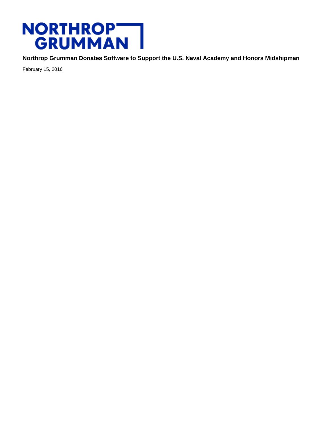## NORTHROP<br>GRUMMAN

**Northrop Grumman Donates Software to Support the U.S. Naval Academy and Honors Midshipman**

February 15, 2016